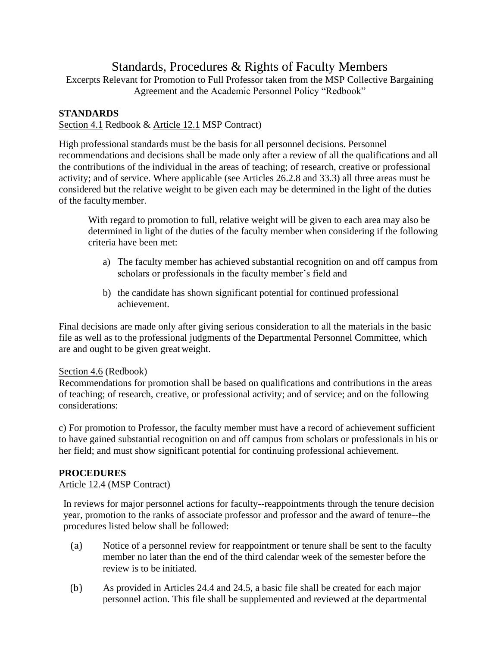# Standards, Procedures & Rights of Faculty Members

Excerpts Relevant for Promotion to Full Professor taken from the MSP Collective Bargaining Agreement and the Academic Personnel Policy "Redbook"

## **STANDARDS**

Section 4.1 Redbook & Article 12.1 MSP Contract)

High professional standards must be the basis for all personnel decisions. Personnel recommendations and decisions shall be made only after a review of all the qualifications and all the contributions of the individual in the areas of teaching; of research, creative or professional activity; and of service. Where applicable (see Articles 26.2.8 and 33.3) all three areas must be considered but the relative weight to be given each may be determined in the light of the duties of the facultymember.

With regard to promotion to full, relative weight will be given to each area may also be determined in light of the duties of the faculty member when considering if the following criteria have been met:

- a) The faculty member has achieved substantial recognition on and off campus from scholars or professionals in the faculty member's field and
- b) the candidate has shown significant potential for continued professional achievement.

Final decisions are made only after giving serious consideration to all the materials in the basic file as well as to the professional judgments of the Departmental Personnel Committee, which are and ought to be given great weight.

### Section 4.6 (Redbook)

Recommendations for promotion shall be based on qualifications and contributions in the areas of teaching; of research, creative, or professional activity; and of service; and on the following considerations:

c) For promotion to Professor, the faculty member must have a record of achievement sufficient to have gained substantial recognition on and off campus from scholars or professionals in his or her field; and must show significant potential for continuing professional achievement.

### **PROCEDURES**

Article 12.4 (MSP Contract)

In reviews for major personnel actions for faculty--reappointments through the tenure decision year, promotion to the ranks of associate professor and professor and the award of tenure--the procedures listed below shall be followed:

- (a) Notice of a personnel review for reappointment or tenure shall be sent to the faculty member no later than the end of the third calendar week of the semester before the review is to be initiated.
- (b) As provided in Articles 24.4 and 24.5, a basic file shall be created for each major personnel action. This file shall be supplemented and reviewed at the departmental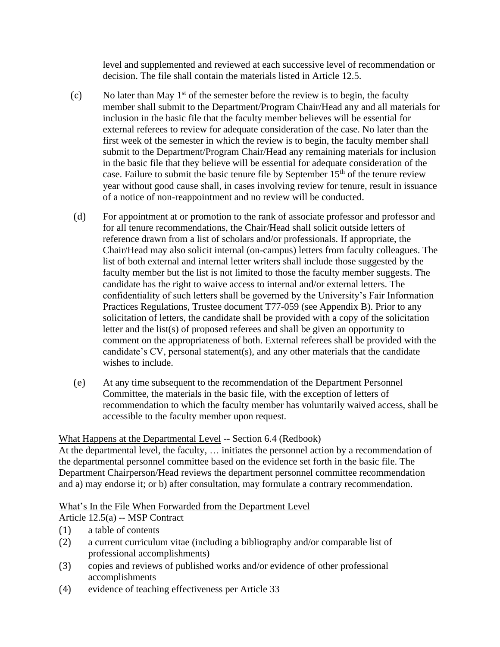level and supplemented and reviewed at each successive level of recommendation or decision. The file shall contain the materials listed in Article 12.5.

- (c) No later than May  $1<sup>st</sup>$  of the semester before the review is to begin, the faculty member shall submit to the Department/Program Chair/Head any and all materials for inclusion in the basic file that the faculty member believes will be essential for external referees to review for adequate consideration of the case. No later than the first week of the semester in which the review is to begin, the faculty member shall submit to the Department/Program Chair/Head any remaining materials for inclusion in the basic file that they believe will be essential for adequate consideration of the case. Failure to submit the basic tenure file by September  $15<sup>th</sup>$  of the tenure review year without good cause shall, in cases involving review for tenure, result in issuance of a notice of non-reappointment and no review will be conducted.
- (d) For appointment at or promotion to the rank of associate professor and professor and for all tenure recommendations, the Chair/Head shall solicit outside letters of reference drawn from a list of scholars and/or professionals. If appropriate, the Chair/Head may also solicit internal (on-campus) letters from faculty colleagues. The list of both external and internal letter writers shall include those suggested by the faculty member but the list is not limited to those the faculty member suggests. The candidate has the right to waive access to internal and/or external letters. The confidentiality of such letters shall be governed by the University's Fair Information Practices Regulations, Trustee document T77-059 (see Appendix B). Prior to any solicitation of letters, the candidate shall be provided with a copy of the solicitation letter and the list(s) of proposed referees and shall be given an opportunity to comment on the appropriateness of both. External referees shall be provided with the candidate's CV, personal statement(s), and any other materials that the candidate wishes to include.
- (e) At any time subsequent to the recommendation of the Department Personnel Committee, the materials in the basic file, with the exception of letters of recommendation to which the faculty member has voluntarily waived access, shall be accessible to the faculty member upon request.

### What Happens at the Departmental Level -- Section 6.4 (Redbook)

At the departmental level, the faculty, … initiates the personnel action by a recommendation of the departmental personnel committee based on the evidence set forth in the basic file. The Department Chairperson/Head reviews the department personnel committee recommendation and a) may endorse it; or b) after consultation, may formulate a contrary recommendation.

### What's In the File When Forwarded from the Department Level

Article 12.5(a) -- MSP Contract

- (1) a table of contents
- (2) a current curriculum vitae (including a bibliography and/or comparable list of professional accomplishments)
- (3) copies and reviews of published works and/or evidence of other professional accomplishments
- (4) evidence of teaching effectiveness per Article 33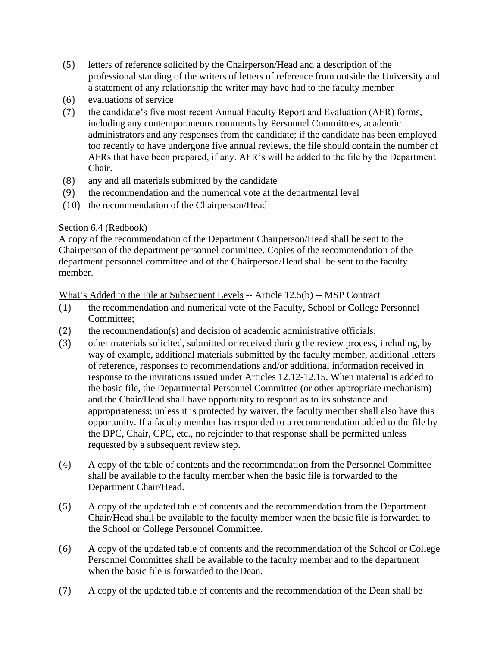- (5) letters of reference solicited by the Chairperson/Head and a description of the professional standing of the writers of letters of reference from outside the University and a statement of any relationship the writer may have had to the faculty member
- (6) evaluations of service
- (7) the candidate's five most recent Annual Faculty Report and Evaluation (AFR) forms, including any contemporaneous comments by Personnel Committees, academic administrators and any responses from the candidate; if the candidate has been employed too recently to have undergone five annual reviews, the file should contain the number of AFRs that have been prepared, if any. AFR's will be added to the file by the Department Chair.
- (8) any and all materials submitted by the candidate
- (9) the recommendation and the numerical vote at the departmental level
- (10) the recommendation of the Chairperson/Head

### Section 6.4 (Redbook)

A copy of the recommendation of the Department Chairperson/Head shall be sent to the Chairperson of the department personnel committee. Copies of the recommendation of the department personnel committee and of the Chairperson/Head shall be sent to the faculty member.

What's Added to the File at Subsequent Levels -- Article 12.5(b) -- MSP Contract

- (1) the recommendation and numerical vote of the Faculty, School or College Personnel Committee;
- (2) the recommendation(s) and decision of academic administrative officials;
- (3) other materials solicited, submitted or received during the review process, including, by way of example, additional materials submitted by the faculty member, additional letters of reference, responses to recommendations and/or additional information received in response to the invitations issued under Articles 12.12-12.15. When material is added to the basic file, the Departmental Personnel Committee (or other appropriate mechanism) and the Chair/Head shall have opportunity to respond as to its substance and appropriateness; unless it is protected by waiver, the faculty member shall also have this opportunity. If a faculty member has responded to a recommendation added to the file by the DPC, Chair, CPC, etc., no rejoinder to that response shall be permitted unless requested by a subsequent review step.
- (4) A copy of the table of contents and the recommendation from the Personnel Committee shall be available to the faculty member when the basic file is forwarded to the Department Chair/Head.
- (5) A copy of the updated table of contents and the recommendation from the Department Chair/Head shall be available to the faculty member when the basic file is forwarded to the School or College Personnel Committee.
- (6) A copy of the updated table of contents and the recommendation of the School or College Personnel Committee shall be available to the faculty member and to the department when the basic file is forwarded to the Dean.
- (7) A copy of the updated table of contents and the recommendation of the Dean shall be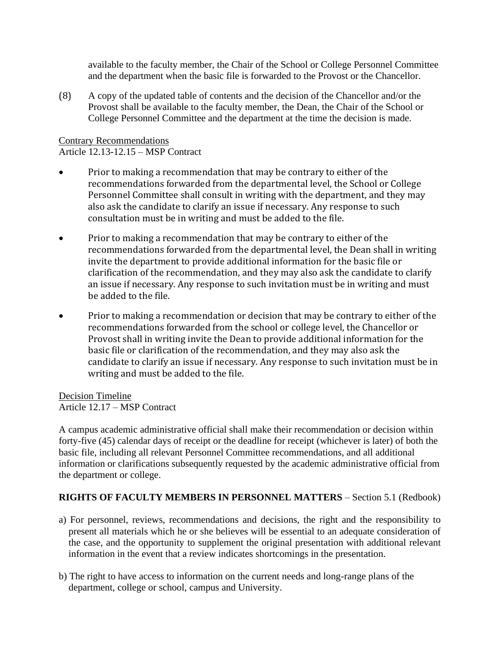available to the faculty member, the Chair of the School or College Personnel Committee and the department when the basic file is forwarded to the Provost or the Chancellor.

(8) A copy of the updated table of contents and the decision of the Chancellor and/or the Provost shall be available to the faculty member, the Dean, the Chair of the School or College Personnel Committee and the department at the time the decision is made.

Contrary Recommendations Article 12.13-12.15 – MSP Contract

- Prior to making a recommendation that may be contrary to either of the recommendations forwarded from the departmental level, the School or College Personnel Committee shall consult in writing with the department, and they may also ask the candidate to clarify an issue if necessary. Any response to such consultation must be in writing and must be added to the file.
- Prior to making a recommendation that may be contrary to either of the recommendations forwarded from the departmental level, the Dean shall in writing invite the department to provide additional information for the basic file or clarification of the recommendation, and they may also ask the candidate to clarify an issue if necessary. Any response to such invitation must be in writing and must be added to the file.
- Prior to making a recommendation or decision that may be contrary to either of the recommendations forwarded from the school or college level, the Chancellor or Provost shall in writing invite the Dean to provide additional information for the basic file or clarification of the recommendation, and they may also ask the candidate to clarify an issue if necessary. Any response to such invitation must be in writing and must be added to the file.

Decision Timeline Article 12.17 – MSP Contract

A campus academic administrative official shall make their recommendation or decision within forty-five (45) calendar days of receipt or the deadline for receipt (whichever is later) of both the basic file, including all relevant Personnel Committee recommendations, and all additional information or clarifications subsequently requested by the academic administrative official from the department or college.

### **RIGHTS OF FACULTY MEMBERS IN PERSONNEL MATTERS** – Section 5.1 (Redbook)

- a) For personnel, reviews, recommendations and decisions, the right and the responsibility to present all materials which he or she believes will be essential to an adequate consideration of the case, and the opportunity to supplement the original presentation with additional relevant information in the event that a review indicates shortcomings in the presentation.
- b) The right to have access to information on the current needs and long-range plans of the department, college or school, campus and University.